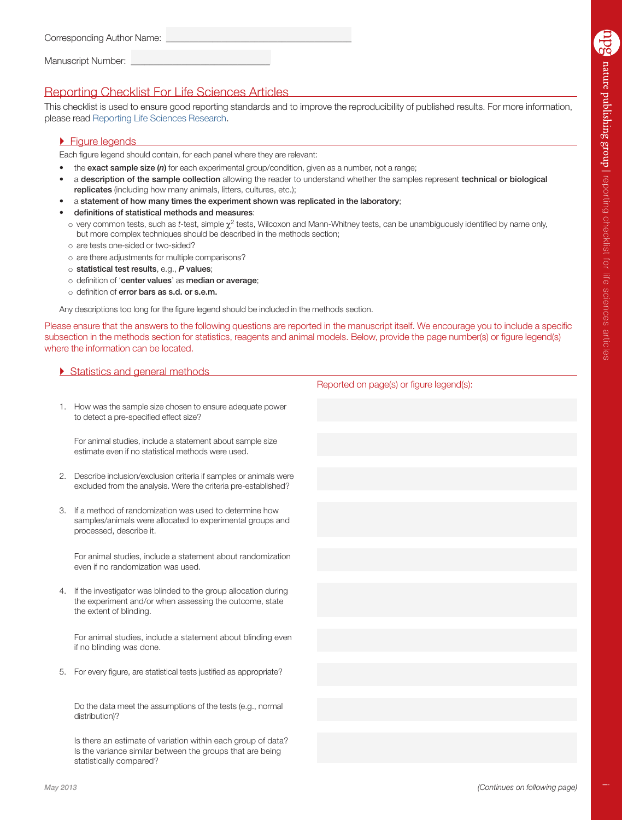| Corresponding Author Name: |  |  |  |  |
|----------------------------|--|--|--|--|
|                            |  |  |  |  |
| Manuscript Number:         |  |  |  |  |

# Reporting Checklist For Life Sciences Articles

This checklist is used to ensure good reporting standards and to improve the reproducibility of published results. For more information, please read [Reporting Life Sciences Research](http://www.nature.com/authors/policies/reporting.pdf).

### **Figure legends**

Each figure legend should contain, for each panel where they are relevant:

- the exact sample size (n) for each experimental group/condition, given as a number, not a range;
- a description of the sample collection allowing the reader to understand whether the samples represent technical or biological replicates (including how many animals, litters, cultures, etc.);
- a statement of how many times the experiment shown was replicated in the laboratory;
- definitions of statistical methods and measures:
- very common tests, such as *t*-test, simple χ2 tests, Wilcoxon and Mann-Whitney tests, can be unambiguously identified by name only, but more complex techniques should be described in the methods section;
- o are tests one-sided or two-sided?
- are there adjustments for multiple comparisons?
- statistical test results, e.g., *P* values;
- o definition of 'center values' as median or average;
- o definition of error bars as s.d. or s.e.m.

Any descriptions too long for the figure legend should be included in the methods section.

Please ensure that the answers to the following questions are reported in the manuscript itself. We encourage you to include a specific subsection in the methods section for statistics, reagents and animal models. Below, provide the page number(s) or figure legend(s) where the information can be located.

|    | Statistics and general methods                                                                                                                       |               |  |  |
|----|------------------------------------------------------------------------------------------------------------------------------------------------------|---------------|--|--|
|    |                                                                                                                                                      | <b>Report</b> |  |  |
|    | 1. How was the sample size chosen to ensure adequate power<br>to detect a pre-specified effect size?                                                 |               |  |  |
|    |                                                                                                                                                      |               |  |  |
|    | For animal studies, include a statement about sample size<br>estimate even if no statistical methods were used.                                      |               |  |  |
| 2. | Describe inclusion/exclusion criteria if samples or animals were                                                                                     |               |  |  |
|    | excluded from the analysis. Were the criteria pre-established?                                                                                       |               |  |  |
|    |                                                                                                                                                      |               |  |  |
| 3. | If a method of randomization was used to determine how<br>samples/animals were allocated to experimental groups and<br>processed, describe it.       |               |  |  |
|    |                                                                                                                                                      |               |  |  |
|    | For animal studies, include a statement about randomization<br>even if no randomization was used.                                                    |               |  |  |
|    |                                                                                                                                                      |               |  |  |
| 4. | If the investigator was blinded to the group allocation during<br>the experiment and/or when assessing the outcome, state<br>the extent of blinding. |               |  |  |
|    |                                                                                                                                                      |               |  |  |
|    | For animal studies, include a statement about blinding even<br>if no blinding was done.                                                              |               |  |  |

5. For every figure, are statistical tests justified as appropriate?

 Do the data meet the assumptions of the tests (e.g., normal distribution)?

 Is there an estimate of variation within each group of data? Is the variance similar between the groups that are being statistically compared?

ted on page(s) or figure legend(s):